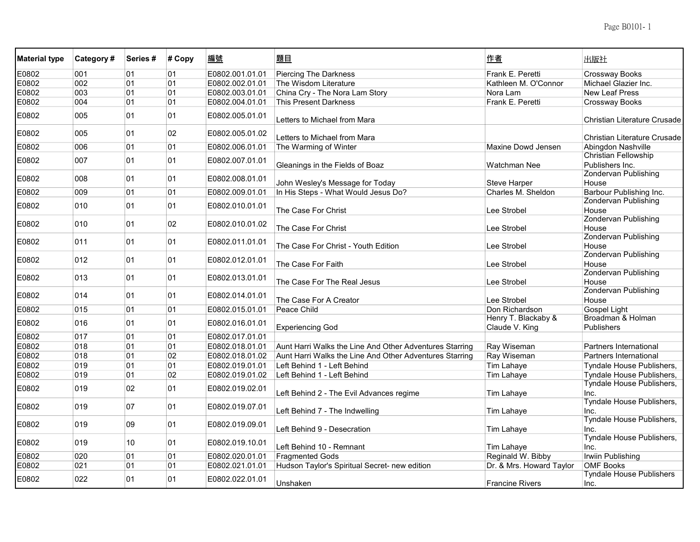| <b>Material type</b> | Category# | Series # | # Copy | 編號              | 題目                                                      | 作者                                    | 出版社                                            |
|----------------------|-----------|----------|--------|-----------------|---------------------------------------------------------|---------------------------------------|------------------------------------------------|
| E0802                | 001       | 01       | 01     | E0802.001.01.01 | <b>Piercing The Darkness</b>                            | Frank E. Peretti                      | <b>Crossway Books</b>                          |
| E0802                | 002       | 01       | 01     | E0802.002.01.01 | The Wisdom Literature                                   | Kathleen M. O'Connor                  | Michael Glazier Inc.                           |
| E0802                | 003       | 01       | 01     | E0802.003.01.01 | China Cry - The Nora Lam Story                          | Nora Lam                              | <b>New Leaf Press</b>                          |
| E0802                | 004       | 01       | 01     | E0802.004.01.01 | <b>This Present Darkness</b>                            | Frank E. Peretti                      | <b>Crossway Books</b>                          |
| E0802                | 005       | 01       | 01     | E0802.005.01.01 | Letters to Michael from Mara                            |                                       | Christian Literature Crusade                   |
| E0802                | 005       | 01       | 02     | E0802.005.01.02 | Letters to Michael from Mara                            |                                       | Christian Literature Crusade                   |
| E0802                | 006       | 01       | 01     | E0802.006.01.01 | The Warming of Winter                                   | Maxine Dowd Jensen                    | Abingdon Nashville                             |
| E0802                | 007       | 01       | 01     | E0802.007.01.01 | Gleanings in the Fields of Boaz                         | Watchman Nee                          | <b>Christian Fellowship</b><br>Publishers Inc. |
| E0802                | 008       | 01       | 01     | E0802.008.01.01 |                                                         |                                       | Zondervan Publishing                           |
|                      |           |          |        |                 | John Wesley's Message for Today                         | <b>Steve Harper</b>                   | House                                          |
| E0802                | 009       | 01       | 01     | E0802.009.01.01 | In His Steps - What Would Jesus Do?                     | Charles M. Sheldon                    | Barbour Publishing Inc.                        |
| E0802                | 010       | 01       | 01     | E0802.010.01.01 | The Case For Christ                                     | Lee Strobel                           | <b>Zondervan Publishing</b><br>House           |
| E0802                | 010       | 01       | 02     | E0802.010.01.02 |                                                         |                                       | <b>Zondervan Publishing</b>                    |
|                      |           |          |        |                 | The Case For Christ                                     | Lee Strobel                           | House                                          |
| E0802                | 011       | 01       | 01     | E0802.011.01.01 | The Case For Christ - Youth Edition                     | Lee Strobel                           | <b>Zondervan Publishing</b><br>House           |
| E0802                | 012       | 01       | 01     | E0802.012.01.01 | The Case For Faith                                      | Lee Strobel                           | Zondervan Publishing<br>House                  |
| E0802                | 013       | 01       | 01     | E0802.013.01.01 | The Case For The Real Jesus                             | Lee Strobel                           | <b>Zondervan Publishing</b><br>House           |
| E0802                | 014       | 01       | 01     | E0802.014.01.01 | The Case For A Creator                                  | Lee Strobel                           | <b>Zondervan Publishing</b><br>House           |
| E0802                | 015       | 01       | 01     | E0802.015.01.01 | Peace Child                                             | Don Richardson                        | Gospel Light                                   |
| E0802                | 016       | 01       | 01     | E0802.016.01.01 | <b>Experiencing God</b>                                 | Henry T. Blackaby &<br>Claude V. King | Broadman & Holman<br><b>Publishers</b>         |
| E0802                | 017       | 01       | 01     | E0802.017.01.01 |                                                         |                                       |                                                |
| E0802                | 018       | 01       | 01     | E0802.018.01.01 | Aunt Harri Walks the Line And Other Adventures Starring | Ray Wiseman                           | Partners International                         |
| E0802                | 018       | 01       | 02     | E0802.018.01.02 | Aunt Harri Walks the Line And Other Adventures Starring | Ray Wiseman                           | Partners International                         |
| E0802                | 019       | 01       | 01     | E0802.019.01.01 | Left Behind 1 - Left Behind                             | Tim Lahaye                            | Tyndale House Publishers,                      |
| E0802                | 019       | 01       | 02     | E0802.019.01.02 | Left Behind 1 - Left Behind                             | Tim Lahaye                            | Tyndale House Publishers,                      |
| E0802                | 019       | 02       | 01     | E0802.019.02.01 | Left Behind 2 - The Evil Advances regime                | Tim Lahaye                            | Tyndale House Publishers,<br>Inc.              |
| E0802                | 019       | 07       | 01     | E0802.019.07.01 | Left Behind 7 - The Indwelling                          | Tim Lahaye                            | Tyndale House Publishers,<br>Inc.              |
| E0802                | 019       | 09       | 01     | E0802.019.09.01 | Left Behind 9 - Desecration                             | Tim Lahaye                            | Tyndale House Publishers,<br>Inc.              |
| E0802                | 019       | 10       | 01     | E0802.019.10.01 | Left Behind 10 - Remnant                                | Tim Lahaye                            | Tyndale House Publishers,<br>Inc.              |
| E0802                | 020       | 01       | 01     | E0802.020.01.01 | <b>Fragmented Gods</b>                                  | Reginald W. Bibby                     | Irwiin Publishing                              |
| E0802                | 021       | 01       | 01     | E0802.021.01.01 | Hudson Taylor's Spiritual Secret- new edition           | Dr. & Mrs. Howard Taylor              | <b>OMF Books</b>                               |
| E0802                | 022       | 01       | 01     | E0802.022.01.01 | Unshaken                                                | <b>Francine Rivers</b>                | <b>Tyndale House Publishers</b><br>Inc.        |
|                      |           |          |        |                 |                                                         |                                       |                                                |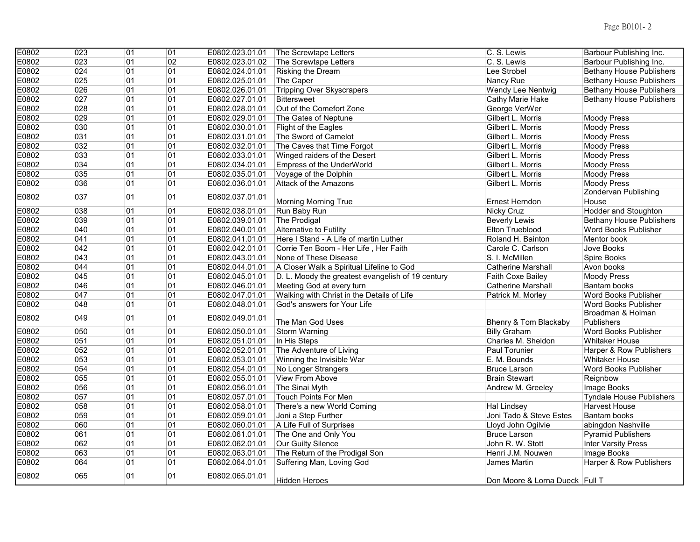| E0802 | $\overline{023}$ | $\overline{01}$ | 01 | E0802.023.01.01 | The Screwtape Letters                             | C. S. Lewis                    | Barbour Publishing Inc.         |
|-------|------------------|-----------------|----|-----------------|---------------------------------------------------|--------------------------------|---------------------------------|
| E0802 | 023              | 01              | 02 | E0802.023.01.02 | The Screwtape Letters                             | C. S. Lewis                    | Barbour Publishing Inc.         |
| E0802 | 024              | 01              | 01 | E0802.024.01.01 | Risking the Dream                                 | Lee Strobel                    | <b>Bethany House Publishers</b> |
| E0802 | 025              | 01              | 01 | E0802.025.01.01 | The Caper                                         | Nancy Rue                      | <b>Bethany House Publishers</b> |
| E0802 | 026              | 01              | 01 | E0802.026.01.01 | <b>Tripping Over Skyscrapers</b>                  | Wendy Lee Nentwig              | <b>Bethany House Publishers</b> |
| E0802 | 027              | 01              | 01 | E0802.027.01.01 | Bittersweet                                       | Cathy Marie Hake               | <b>Bethany House Publishers</b> |
| E0802 | 028              | 01              | 01 | E0802.028.01.01 | Out of the Comefort Zone                          | George VerWer                  |                                 |
| E0802 | 029              | 01              | 01 | E0802.029.01.01 | The Gates of Neptune                              | Gilbert L. Morris              | <b>Moody Press</b>              |
| E0802 | 030              | 01              | 01 | E0802.030.01.01 | Flight of the Eagles                              | Gilbert L. Morris              | <b>Moody Press</b>              |
| E0802 | 031              | 01              | 01 | E0802.031.01.01 | The Sword of Camelot                              | Gilbert L. Morris              | <b>Moody Press</b>              |
| E0802 | 032              | 01              | 01 | E0802.032.01.01 | The Caves that Time Forgot                        | Gilbert L. Morris              | <b>Moody Press</b>              |
| E0802 | 033              | 01              | 01 | E0802.033.01.01 | Winged raiders of the Desert                      | Gilbert L. Morris              | <b>Moody Press</b>              |
| E0802 | 034              | 01              | 01 | E0802.034.01.01 | Empress of the UnderWorld                         | Gilbert L. Morris              | <b>Moody Press</b>              |
| E0802 | 035              | 01              | 01 | E0802.035.01.01 | Voyage of the Dolphin                             | Gilbert L. Morris              | <b>Moody Press</b>              |
| E0802 | 036              | 01              | 01 | E0802.036.01.01 | Attack of the Amazons                             | Gilbert L. Morris              | <b>Moody Press</b>              |
| E0802 | 037              | 01              | 01 | E0802.037.01.01 |                                                   |                                | Zondervan Publishing            |
|       |                  |                 |    |                 | <b>Morning Morning True</b>                       | Ernest Herndon                 | House                           |
| E0802 | 038              | 01              | 01 | E0802.038.01.01 | Run Baby Run                                      | <b>Nicky Cruz</b>              | Hodder and Stoughton            |
| E0802 | 039              | 01              | 01 | E0802.039.01.01 | The Prodigal                                      | <b>Beverly Lewis</b>           | <b>Bethany House Publishers</b> |
| E0802 | 040              | 01              | 01 | E0802.040.01.01 | Alternative to Futility                           | Elton Trueblood                | Word Books Publisher            |
| E0802 | 041              | 01              | 01 | E0802.041.01.01 | Here I Stand - A Life of martin Luther            | Roland H. Bainton              | Mentor book                     |
| E0802 | 042              | 01              | 01 | E0802.042.01.01 | Corrie Ten Boom - Her Life, Her Faith             | Carole C. Carlson              | Jove Books                      |
| E0802 | 043              | 01              | 01 | E0802.043.01.01 | None of These Disease                             | S. I. McMillen                 | Spire Books                     |
| E0802 | 044              | 01              | 01 | E0802.044.01.01 | A Closer Walk a Spiritual Lifeline to God         | <b>Catherine Marshall</b>      | Avon books                      |
| E0802 | 045              | 01              | 01 | E0802.045.01.01 | D. L. Moody the greatest evangelish of 19 century | Faith Coxe Bailey              | <b>Moody Press</b>              |
| E0802 | 046              | 01              | 01 | E0802.046.01.01 | Meeting God at every turn                         | <b>Catherine Marshall</b>      | Bantam books                    |
| E0802 | 047              | 01              | 01 | E0802.047.01.01 | Walking with Christ in the Details of Life        | Patrick M. Morley              | Word Books Publisher            |
| E0802 | 048              | 01              | 01 | E0802.048.01.01 | God's answers for Your Life                       |                                | <b>Word Books Publisher</b>     |
| E0802 | 049              | 01              | 01 | E0802.049.01.01 |                                                   |                                | Broadman & Holman               |
|       |                  |                 |    |                 | The Man God Uses                                  | Bhenry & Tom Blackaby          | Publishers                      |
| E0802 | 050              | 01              | 01 | E0802.050.01.01 | Storm Warning                                     | <b>Billy Graham</b>            | <b>Word Books Publisher</b>     |
| E0802 | 051              | 01              | 01 | E0802.051.01.01 | In His Steps                                      | Charles M. Sheldon             | <b>Whitaker House</b>           |
| E0802 | 052              | 01              | 01 | E0802.052.01.01 | The Adventure of Living                           | Paul Torunier                  | Harper & Row Publishers         |
| E0802 | 053              | 01              | 01 | E0802.053.01.01 | Winning the Invisible War                         | E. M. Bounds                   | <b>Whitaker House</b>           |
| E0802 | 054              | 01              | 01 | E0802.054.01.01 | No Longer Strangers                               | <b>Bruce Larson</b>            | Word Books Publisher            |
| E0802 | 055              | 01              | 01 | E0802.055.01.01 | View From Above                                   | <b>Brain Stewart</b>           | Reignbow                        |
| E0802 | 056              | 01              | 01 | E0802.056.01.01 | The Sinai Myth                                    | Andrew M. Greeley              | Image Books                     |
| E0802 | 057              | 01              | 01 | E0802.057.01.01 | Touch Points For Men                              |                                | <b>Tyndale House Publishers</b> |
| E0802 | 058              | 01              | 01 | E0802.058.01.01 | There's a new World Coming                        | Hal Lindsey                    | Harvest House                   |
| E0802 | 059              | 01              | 01 | E0802.059.01.01 | Joni a Step Further                               | Joni Tado & Steve Estes        | Bantam books                    |
| E0802 | 060              | 01              | 01 | E0802.060.01.01 | A Life Full of Surprises                          | Lloyd John Ogilvie             | abingdon Nashville              |
| E0802 | 061              | 01              | 01 | E0802.061.01.01 | The One and Only You                              | <b>Bruce Larson</b>            | <b>Pyramid Publishers</b>       |
| E0802 | 062              | 01              | 01 | E0802.062.01.01 | Our Guilty Silence                                | John R. W. Stott               | <b>Inter Varsity Press</b>      |
| E0802 | 063              | 01              | 01 | E0802.063.01.01 | The Return of the Prodigal Son                    | Henri J.M. Nouwen              | Image Books                     |
| E0802 | 064              | 01              | 01 | E0802.064.01.01 | Suffering Man, Loving God                         | James Martin                   | Harper & Row Publishers         |
| E0802 | 065              | 01              | 01 | E0802.065.01.01 | Hidden Heroes                                     | Don Moore & Lorna Dueck Full T |                                 |